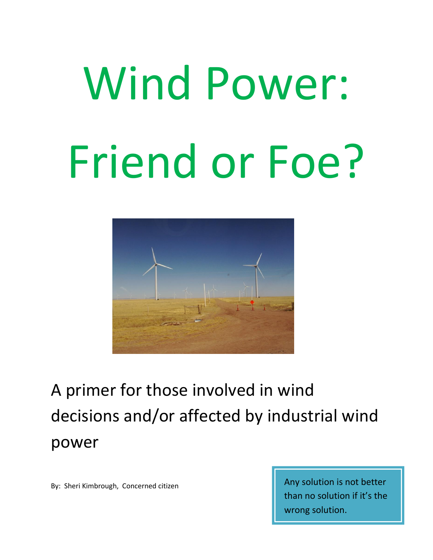# Wind Power: Friend or Foe?



A primer for those involved in wind decisions and/or affected by industrial wind power

By: Sheri Kimbrough, Concerned citizen Any solution is not better than no solution if it's the wrong solution.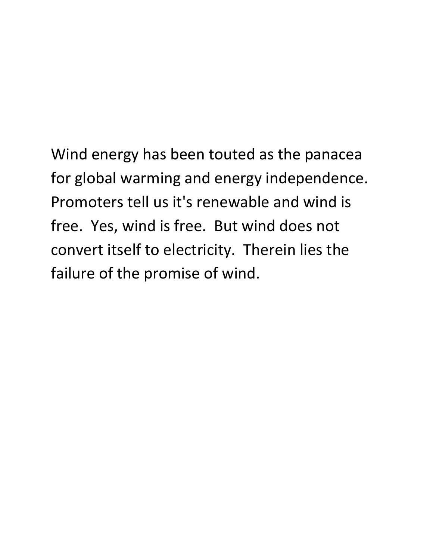Wind energy has been touted as the panacea for global warming and energy independence. Promoters tell us it's renewable and wind is free. Yes, wind is free. But wind does not convert itself to electricity. Therein lies the failure of the promise of wind.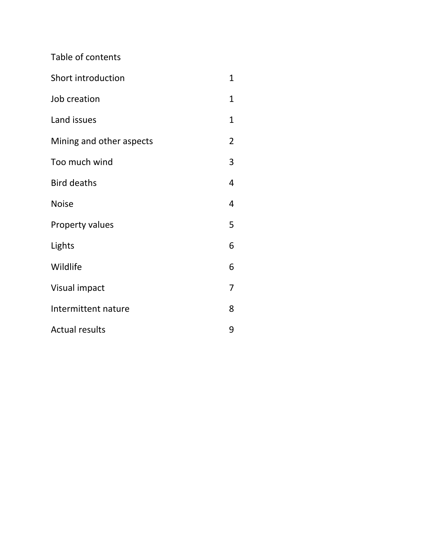Table of contents

| Short introduction       | $\mathbf{1}$   |
|--------------------------|----------------|
| Job creation             | 1              |
| Land issues              | $\mathbf{1}$   |
| Mining and other aspects | $\overline{2}$ |
| Too much wind            | 3              |
| <b>Bird deaths</b>       | 4              |
| <b>Noise</b>             | 4              |
| Property values          | 5              |
| Lights                   | 6              |
| Wildlife                 | 6              |
| Visual impact            | 7              |
| Intermittent nature      | 8              |
| <b>Actual results</b>    | 9              |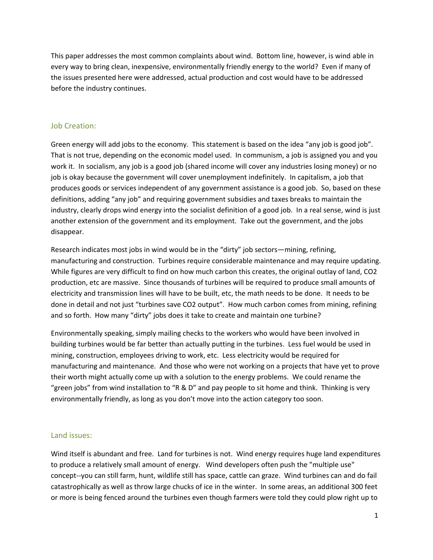This paper addresses the most common complaints about wind. Bottom line, however, is wind able in every way to bring clean, inexpensive, environmentally friendly energy to the world? Even if many of the issues presented here were addressed, actual production and cost would have to be addressed before the industry continues.

### Job Creation:

Green energy will add jobs to the economy. This statement is based on the idea "any job is good job". That is not true, depending on the economic model used. In communism, a job is assigned you and you work it. In socialism, any job is a good job (shared income will cover any industries losing money) or no job is okay because the government will cover unemployment indefinitely. In capitalism, a job that produces goods or services independent of any government assistance is a good job. So, based on these definitions, adding "any job" and requiring government subsidies and taxes breaks to maintain the industry, clearly drops wind energy into the socialist definition of a good job. In a real sense, wind is just another extension of the government and its employment. Take out the government, and the jobs disappear.

Research indicates most jobs in wind would be in the "dirty" job sectors—mining, refining, manufacturing and construction. Turbines require considerable maintenance and may require updating. While figures are very difficult to find on how much carbon this creates, the original outlay of land, CO2 production, etc are massive. Since thousands of turbines will be required to produce small amounts of electricity and transmission lines will have to be built, etc, the math needs to be done. It needs to be done in detail and not just "turbines save CO2 output". How much carbon comes from mining, refining and so forth. How many "dirty" jobs does it take to create and maintain one turbine?

Environmentally speaking, simply mailing checks to the workers who would have been involved in building turbines would be far better than actually putting in the turbines. Less fuel would be used in mining, construction, employees driving to work, etc. Less electricity would be required for manufacturing and maintenance. And those who were not working on a projects that have yet to prove their worth might actually come up with a solution to the energy problems. We could rename the "green jobs" from wind installation to "R & D" and pay people to sit home and think. Thinking is very environmentally friendly, as long as you don't move into the action category too soon.

### Land issues:

Wind itself is abundant and free. Land for turbines is not. Wind energy requires huge land expenditures to produce a relatively small amount of energy. Wind developers often push the "multiple use" concept--you can still farm, hunt, wildlife still has space, cattle can graze. Wind turbines can and do fail catastrophically as well as throw large chucks of ice in the winter. In some areas, an additional 300 feet or more is being fenced around the turbines even though farmers were told they could plow right up to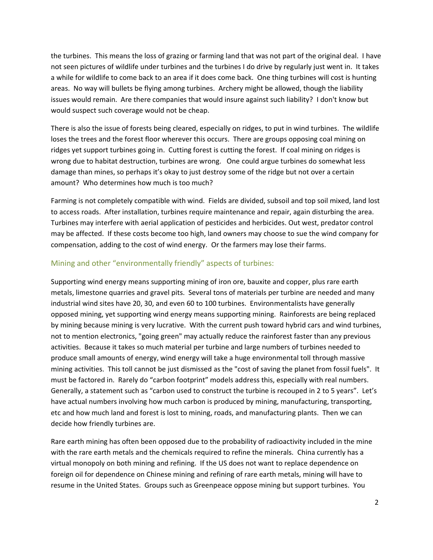the turbines. This means the loss of grazing or farming land that was not part of the original deal. I have not seen pictures of wildlife under turbines and the turbines I do drive by regularly just went in. It takes a while for wildlife to come back to an area if it does come back. One thing turbines will cost is hunting areas. No way will bullets be flying among turbines. Archery might be allowed, though the liability issues would remain. Are there companies that would insure against such liability? I don't know but would suspect such coverage would not be cheap.

There is also the issue of forests being cleared, especially on ridges, to put in wind turbines. The wildlife loses the trees and the forest floor wherever this occurs. There are groups opposing coal mining on ridges yet support turbines going in. Cutting forest is cutting the forest. If coal mining on ridges is wrong due to habitat destruction, turbines are wrong. One could argue turbines do somewhat less damage than mines, so perhaps it's okay to just destroy some of the ridge but not over a certain amount? Who determines how much is too much?

Farming is not completely compatible with wind. Fields are divided, subsoil and top soil mixed, land lost to access roads. After installation, turbines require maintenance and repair, again disturbing the area. Turbines may interfere with aerial application of pesticides and herbicides. Out west, predator control may be affected. If these costs become too high, land owners may choose to sue the wind company for compensation, adding to the cost of wind energy. Or the farmers may lose their farms.

### Mining and other "environmentally friendly" aspects of turbines:

Supporting wind energy means supporting mining of iron ore, bauxite and copper, plus rare earth metals, limestone quarries and gravel pits. Several tons of materials per turbine are needed and many industrial wind sites have 20, 30, and even 60 to 100 turbines. Environmentalists have generally opposed mining, yet supporting wind energy means supporting mining. Rainforests are being replaced by mining because mining is very lucrative. With the current push toward hybrid cars and wind turbines, not to mention electronics, "going green" may actually reduce the rainforest faster than any previous activities. Because it takes so much material per turbine and large numbers of turbines needed to produce small amounts of energy, wind energy will take a huge environmental toll through massive mining activities. This toll cannot be just dismissed as the "cost of saving the planet from fossil fuels". It must be factored in. Rarely do "carbon footprint" models address this, especially with real numbers. Generally, a statement such as "carbon used to construct the turbine is recouped in 2 to 5 years". Let's have actual numbers involving how much carbon is produced by mining, manufacturing, transporting, etc and how much land and forest is lost to mining, roads, and manufacturing plants. Then we can decide how friendly turbines are.

Rare earth mining has often been opposed due to the probability of radioactivity included in the mine with the rare earth metals and the chemicals required to refine the minerals. China currently has a virtual monopoly on both mining and refining. If the US does not want to replace dependence on foreign oil for dependence on Chinese mining and refining of rare earth metals, mining will have to resume in the United States. Groups such as Greenpeace oppose mining but support turbines. You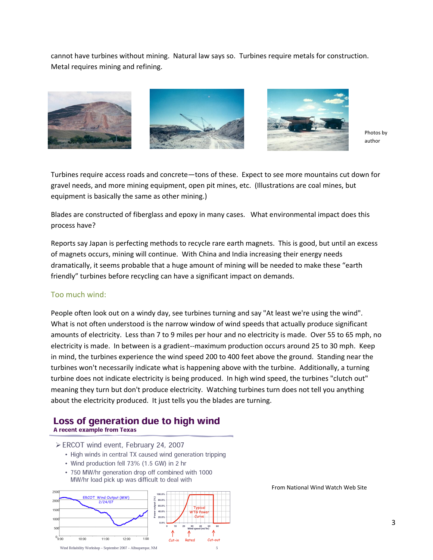cannot have turbines without mining. Natural law says so. Turbines require metals for construction. Metal requires mining and refining.



Photos by author

Turbines require access roads and concrete—tons of these. Expect to see more mountains cut down for gravel needs, and more mining equipment, open pit mines, etc. (Illustrations are coal mines, but equipment is basically the same as other mining.)

Blades are constructed of fiberglass and epoxy in many cases. What environmental impact does this process have?

Reports say Japan is perfecting methods to recycle rare earth magnets. This is good, but until an excess of magnets occurs, mining will continue. With China and India increasing their energy needs dramatically, it seems probable that a huge amount of mining will be needed to make these "earth friendly" turbines before recycling can have a significant impact on demands.

### Too much wind:

People often look out on a windy day, see turbines turning and say "At least we're using the wind". What is not often understood is the narrow window of wind speeds that actually produce significant amounts of electricity. Less than 7 to 9 miles per hour and no electricity is made. Over 55 to 65 mph, no electricity is made. In between is a gradient--maximum production occurs around 25 to 30 mph. Keep in mind, the turbines experience the wind speed 200 to 400 feet above the ground. Standing near the turbines won't necessarily indicate what is happening above with the turbine. Additionally, a turning turbine does not indicate electricity is being produced. In high wind speed, the turbines "clutch out" meaning they turn but don't produce electricity. Watching turbines turn does not tell you anything about the electricity produced. It just tells you the blades are turning.

### Loss of generation due to high wind A recent example from Texas

- ≻ ERCOT wind event, February 24, 2007
	- High winds in central TX caused wind generation tripping
	- Wind production fell 73% (1.5 GW) in 2 hr
	- 750 MW/hr generation drop off combined with 1000 MW/hr load pick up was difficult to deal with



From National Wind Watch Web Site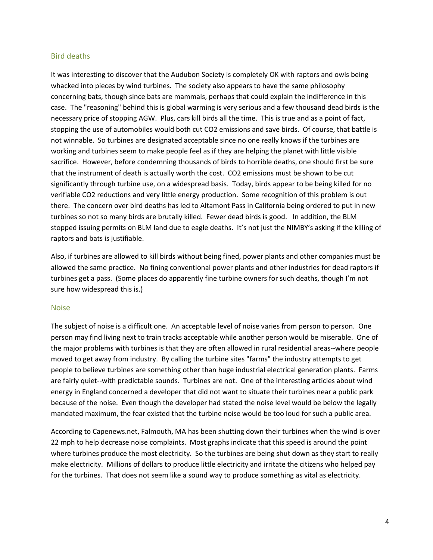### Bird deaths

It was interesting to discover that the Audubon Society is completely OK with raptors and owls being whacked into pieces by wind turbines. The society also appears to have the same philosophy concerning bats, though since bats are mammals, perhaps that could explain the indifference in this case. The "reasoning" behind this is global warming is very serious and a few thousand dead birds is the necessary price of stopping AGW. Plus, cars kill birds all the time. This is true and as a point of fact, stopping the use of automobiles would both cut CO2 emissions and save birds. Of course, that battle is not winnable. So turbines are designated acceptable since no one really knows if the turbines are working and turbines seem to make people feel as if they are helping the planet with little visible sacrifice. However, before condemning thousands of birds to horrible deaths, one should first be sure that the instrument of death is actually worth the cost. CO2 emissions must be shown to be cut significantly through turbine use, on a widespread basis. Today, birds appear to be being killed for no verifiable CO2 reductions and very little energy production. Some recognition of this problem is out there. The concern over bird deaths has led to Altamont Pass in California being ordered to put in new turbines so not so many birds are brutally killed. Fewer dead birds is good. In addition, the BLM stopped issuing permits on BLM land due to eagle deaths. It's not just the NIMBY's asking if the killing of raptors and bats is justifiable.

Also, if turbines are allowed to kill birds without being fined, power plants and other companies must be allowed the same practice. No fining conventional power plants and other industries for dead raptors if turbines get a pass. (Some places do apparently fine turbine owners for such deaths, though I'm not sure how widespread this is.)

### Noise

The subject of noise is a difficult one. An acceptable level of noise varies from person to person. One person may find living next to train tracks acceptable while another person would be miserable. One of the major problems with turbines is that they are often allowed in rural residential areas--where people moved to get away from industry. By calling the turbine sites "farms" the industry attempts to get people to believe turbines are something other than huge industrial electrical generation plants. Farms are fairly quiet--with predictable sounds. Turbines are not. One of the interesting articles about wind energy in England concerned a developer that did not want to situate their turbines near a public park because of the noise. Even though the developer had stated the noise level would be below the legally mandated maximum, the fear existed that the turbine noise would be too loud for such a public area.

According to Capenews.net, Falmouth, MA has been shutting down their turbines when the wind is over 22 mph to help decrease noise complaints. Most graphs indicate that this speed is around the point where turbines produce the most electricity. So the turbines are being shut down as they start to really make electricity. Millions of dollars to produce little electricity and irritate the citizens who helped pay for the turbines. That does not seem like a sound way to produce something as vital as electricity.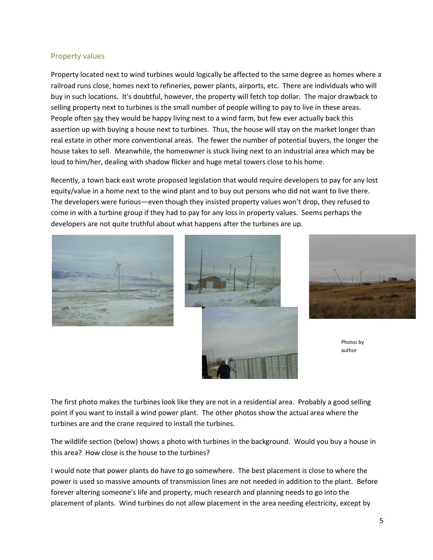### Property values

Property located next to wind turbines would logically be affected to the same degree as homes where a railroad runs close, homes next to refineries, power plants, airports, etc. There are individuals who will buy in such locations. It's doubtful, however, the property will fetch top dollar. The major drawback to selling property next to turbines is the small number of people willing to pay to live in these areas. People often say they would be happy living next to a wind farm, but few ever actually back this assertion up with buying a house next to turbines. Thus, the house will stay on the market longer than real estate in other more conventional areas. The fewer the number of potential buyers, the longer the house takes to sell. Meanwhile, the homeowner is stuck living next to an industrial area which may be loud to him/her, dealing with shadow flicker and huge metal towers close to his home.

Recently, a town back east wrote proposed legislation that would require developers to pay for any lost equity/value in a home next to the wind plant and to buy out persons who did not want to live there. The developers were furious—even though they insisted property values won't drop, they refused to come in with a turbine group if they had to pay for any loss in property values. Seems perhaps the developers are not quite truthful about what happens after the turbines are up.







Photos by author

The first photo makes the turbines look like they are not in a residential area. Probably a good selling point if you want to install a wind power plant. The other photos show the actual area where the turbines are and the crane required to install the turbines.

The wildlife section (below) shows a photo with turbines in the background. Would you buy a house in this area? How close is the house to the turbines?

I would note that power plants do have to go somewhere. The best placement is close to where the power is used so massive amounts of transmission lines are not needed in addition to the plant. Before forever altering someone's life and property, much research and planning needs to go into the placement of plants. Wind turbines do not allow placement in the area needing electricity, except by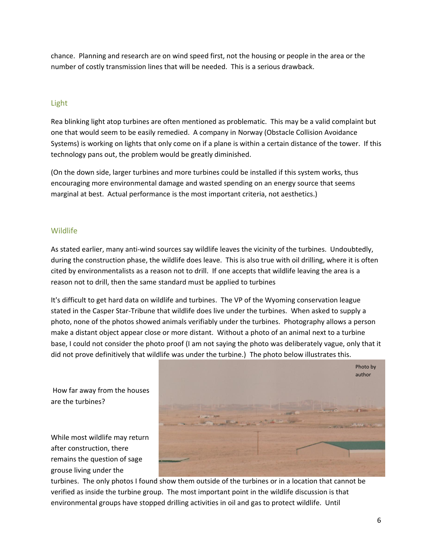chance. Planning and research are on wind speed first, not the housing or people in the area or the number of costly transmission lines that will be needed. This is a serious drawback.

## Light

Rea blinking light atop turbines are often mentioned as problematic. This may be a valid complaint but one that would seem to be easily remedied. A company in Norway (Obstacle Collision Avoidance Systems) is working on lights that only come on if a plane is within a certain distance of the tower. If this technology pans out, the problem would be greatly diminished.

(On the down side, larger turbines and more turbines could be installed if this system works, thus encouraging more environmental damage and wasted spending on an energy source that seems marginal at best. Actual performance is the most important criteria, not aesthetics.)

### Wildlife

As stated earlier, many anti-wind sources say wildlife leaves the vicinity of the turbines. Undoubtedly, during the construction phase, the wildlife does leave. This is also true with oil drilling, where it is often cited by environmentalists as a reason not to drill. If one accepts that wildlife leaving the area is a reason not to drill, then the same standard must be applied to turbines

It's difficult to get hard data on wildlife and turbines. The VP of the Wyoming conservation league stated in the Casper Star-Tribune that wildlife does live under the turbines. When asked to supply a photo, none of the photos showed animals verifiably under the turbines. Photography allows a person make a distant object appear close or more distant. Without a photo of an animal next to a turbine base, I could not consider the photo proof (I am not saying the photo was deliberately vague, only that it did not prove definitively that wildlife was under the turbine.) The photo below illustrates this.

How far away from the houses are the turbines?

While most wildlife may return after construction, there remains the question of sage grouse living under the



turbines. The only photos I found show them outside of the turbines or in a location that cannot be verified as inside the turbine group. The most important point in the wildlife discussion is that environmental groups have stopped drilling activities in oil and gas to protect wildlife. Until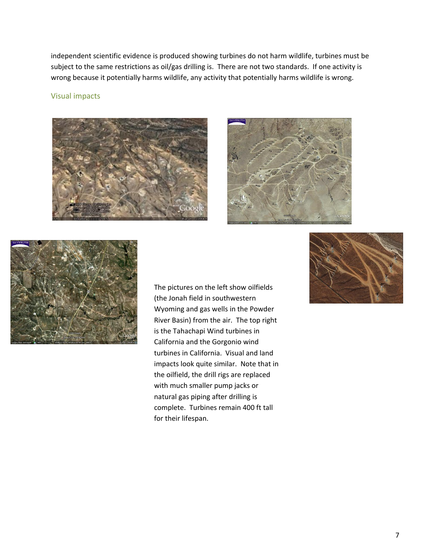independent scientific evidence is produced showing turbines do not harm wildlife, turbines must be subject to the same restrictions as oil/gas drilling is. There are not two standards. If one activity is wrong because it potentially harms wildlife, any activity that potentially harms wildlife is wrong.

### Visual impacts







The pictures on the left show oilfields (the Jonah field in southwestern Wyoming and gas wells in the Powder River Basin) from the air. The top right is the Tahachapi Wind turbines in California and the Gorgonio wind turbines in California. Visual and land impacts look quite similar. Note that in the oilfield, the drill rigs are replaced with much smaller pump jacks or natural gas piping after drilling is complete. Turbines remain 400 ft tall for their lifespan.

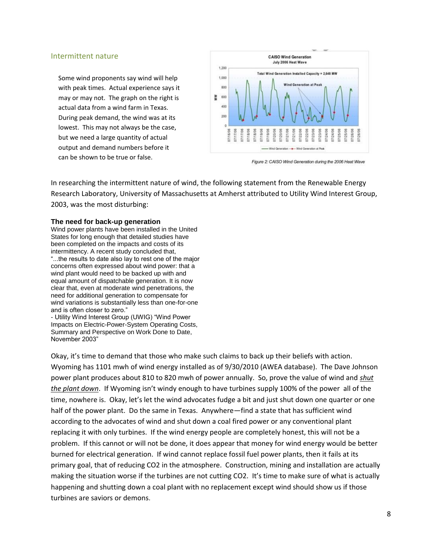### Intermittent nature

Some wind proponents say wind will help with peak times. Actual experience says it may or may not. The graph on the right is actual data from a wind farm in Texas. During peak demand, the wind was at its lowest. This may not always be the case, but we need a large quantity of actual output and demand numbers before it can be shown to be true or false.



Figure 2: CAISO Wind Generation during the 2006 Heat Wave

In researching the intermittent nature of wind, the following statement from the Renewable Energy Research Laboratory, University of Massachusetts at Amherst attributed to Utility Wind Interest Group, 2003, was the most disturbing:

### **The need for back-up generation**

Wind power plants have been installed in the United States for long enough that detailed studies have been completed on the impacts and costs of its intermittency. A recent study concluded that, "...the results to date also lay to rest one of the major concerns often expressed about wind power: that a wind plant would need to be backed up with and equal amount of dispatchable generation. It is now clear that, even at moderate wind penetrations, the need for additional generation to compensate for wind variations is substantially less than one-for-one and is often closer to zero."

- Utility Wind Interest Group (UWIG) "Wind Power Impacts on Electric-Power-System Operating Costs, Summary and Perspective on Work Done to Date, November 2003"

Okay, it's time to demand that those who make such claims to back up their beliefs with action. Wyoming has 1101 mwh of wind energy installed as of 9/30/2010 (AWEA database). The Dave Johnson power plant produces about 810 to 820 mwh of power annually. So, prove the value of wind and *shut the plant down*. If Wyoming isn't windy enough to have turbines supply 100% of the power all of the time, nowhere is. Okay, let's let the wind advocates fudge a bit and just shut down one quarter or one half of the power plant. Do the same in Texas. Anywhere—find a state that has sufficient wind according to the advocates of wind and shut down a coal fired power or any conventional plant replacing it with only turbines. If the wind energy people are completely honest, this will not be a problem. If this cannot or will not be done, it does appear that money for wind energy would be better burned for electrical generation. If wind cannot replace fossil fuel power plants, then it fails at its primary goal, that of reducing CO2 in the atmosphere. Construction, mining and installation are actually making the situation worse if the turbines are not cutting CO2. It's time to make sure of what is actually happening and shutting down a coal plant with no replacement except wind should show us if those turbines are saviors or demons.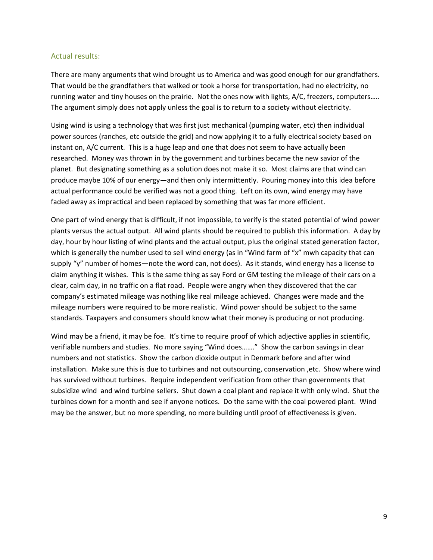### Actual results:

There are many arguments that wind brought us to America and was good enough for our grandfathers. That would be the grandfathers that walked or took a horse for transportation, had no electricity, no running water and tiny houses on the prairie. Not the ones now with lights, A/C, freezers, computers….. The argument simply does not apply unless the goal is to return to a society without electricity.

Using wind is using a technology that was first just mechanical (pumping water, etc) then individual power sources (ranches, etc outside the grid) and now applying it to a fully electrical society based on instant on, A/C current. This is a huge leap and one that does not seem to have actually been researched. Money was thrown in by the government and turbines became the new savior of the planet. But designating something as a solution does not make it so. Most claims are that wind can produce maybe 10% of our energy—and then only intermittently. Pouring money into this idea before actual performance could be verified was not a good thing. Left on its own, wind energy may have faded away as impractical and been replaced by something that was far more efficient.

One part of wind energy that is difficult, if not impossible, to verify is the stated potential of wind power plants versus the actual output. All wind plants should be required to publish this information. A day by day, hour by hour listing of wind plants and the actual output, plus the original stated generation factor, which is generally the number used to sell wind energy (as in "Wind farm of "x" mwh capacity that can supply "y" number of homes—note the word can, not does). As it stands, wind energy has a license to claim anything it wishes. This is the same thing as say Ford or GM testing the mileage of their cars on a clear, calm day, in no traffic on a flat road. People were angry when they discovered that the car company's estimated mileage was nothing like real mileage achieved. Changes were made and the mileage numbers were required to be more realistic. Wind power should be subject to the same standards. Taxpayers and consumers should know what their money is producing or not producing.

Wind may be a friend, it may be foe. It's time to require proof of which adjective applies in scientific, verifiable numbers and studies. No more saying "Wind does……." Show the carbon savings in clear numbers and not statistics. Show the carbon dioxide output in Denmark before and after wind installation. Make sure this is due to turbines and not outsourcing, conservation ,etc. Show where wind has survived without turbines. Require independent verification from other than governments that subsidize wind and wind turbine sellers. Shut down a coal plant and replace it with only wind. Shut the turbines down for a month and see if anyone notices. Do the same with the coal powered plant. Wind may be the answer, but no more spending, no more building until proof of effectiveness is given.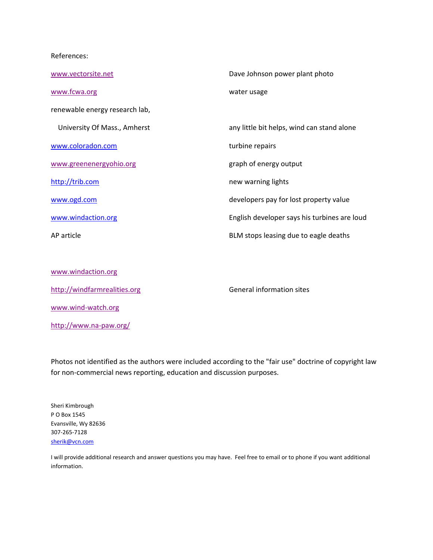### References:

| www.vectorsite.net             | Dave Johnson power plant photo               |
|--------------------------------|----------------------------------------------|
| www.fcwa.org                   | water usage                                  |
| renewable energy research lab, |                                              |
| University Of Mass., Amherst   | any little bit helps, wind can stand alone   |
| www.coloradon.com              | turbine repairs                              |
| www.greenenergyohio.org        | graph of energy output                       |
| http://trib.com                | new warning lights                           |
| www.ogd.com                    | developers pay for lost property value       |
| www.windaction.org             | English developer says his turbines are loud |
| AP article                     | BLM stops leasing due to eagle deaths        |
|                                |                                              |
|                                |                                              |

| www.windaction.org           |  |
|------------------------------|--|
| http://windfarmrealities.org |  |
| www.wind-watch.org           |  |
| http://www.na-paw.org/       |  |

General information sites

Photos not identified as the authors were included according to the "fair use" doctrine of copyright law for non-commercial news reporting, education and discussion purposes.

Sheri Kimbrough P O Box 1545 Evansville, Wy 82636 307-265-7128 [sherik@vcn.com](mailto:sherik@vcn.com)

I will provide additional research and answer questions you may have. Feel free to email or to phone if you want additional information.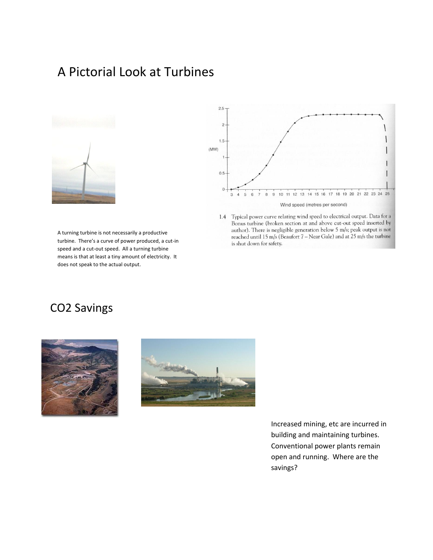# A Pictorial Look at Turbines



A turning turbine is not necessarily a productive turbine. There's a curve of power produced, a cut-in speed and a cut-out speed. All a turning turbine means is that at least a tiny amount of electricity. It does not speak to the actual output.



1.4 Typical power curve relating wind speed to electrical output. Data for a Bonus turbine (broken section at and above cut-out speed inserted by author). There is negligible generation below 5 m/s; peak output is not reached until 15 m/s (Beaufort 7 - Near Gale) and at 25 m/s the turbine is shut down for safety.

# CO2 Savings





Increased mining, etc are incurred in building and maintaining turbines. Conventional power plants remain open and running. Where are the savings?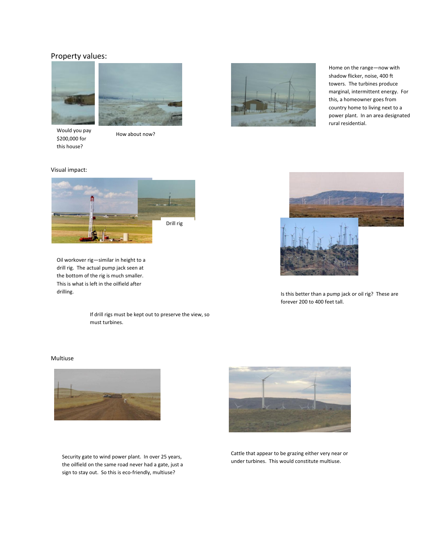### Property values:



Would you pay \$200,000 for this house?

How about now?



Home on the range—now with shadow flicker, noise, 400 ft towers. The turbines produce marginal, intermittent energy. For this, a homeowner goes from country home to living next to a power plant. In an area designated rural residential.





Oil workover rig—similar in height to a drill rig. The actual pump jack seen at the bottom of the rig is much smaller. This is what is left in the oilfield after

> If drill rigs must be kept out to preserve the view, so must turbines.

### Multiuse



Security gate to wind power plant. In over 25 years, the oilfield on the same road never had a gate, just a sign to stay out. So this is eco-friendly, multiuse?



Cattle that appear to be grazing either very near or under turbines. This would constitute multiuse.



drilling. These are all this better than a pump jack or oil rig? These are forever 200 to 400 feet tall.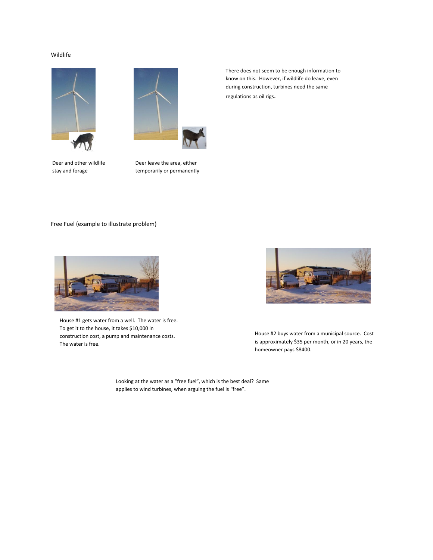### Wildlife





Deer and other wildlife stay and forage

Deer leave the area, either temporarily or permanently

There does not seem to be enough information to know on this. However, if wildlife do leave, even during construction, turbines need the same regulations as oil rigs.

Free Fuel (example to illustrate problem)



House #1 gets water from a well. The water is free. To get it to the house, it takes \$10,000 in construction cost, a pump and maintenance costs. The water is free.



House #2 buys water from a municipal source. Cost is approximately \$35 per month, or in 20 years, the homeowner pays \$8400.

Looking at the water as a "free fuel", which is the best deal? Same applies to wind turbines, when arguing the fuel is "free".